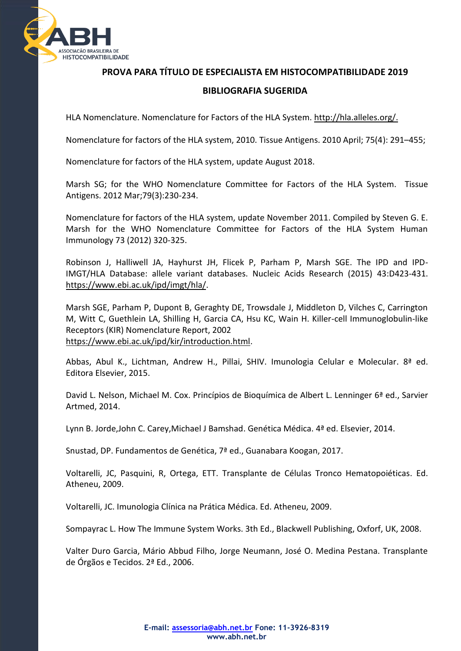

**PROVA PARA TÍTULO DE ESPECIALISTA EM HISTOCOMPATIBILIDADE 2019 BIBLIOGRAFIA SUGERIDA**

HLA Nomenclature. Nomenclature for Factors of the HLA System. http://hla.alleles.org/.

Nomenclature for factors of the HLA system, 2010. Tissue Antigens. 2010 April; 75(4): 291–455;

Nomenclature for factors of the HLA system, update August 2018.

Marsh SG; for the WHO Nomenclature Committee for Factors of the HLA System. Tissue Antigens. 2012 Mar;79(3):230-234.

Nomenclature for factors of the HLA system, update November 2011. Compiled by Steven G. E. Marsh for the WHO Nomenclature Committee for Factors of the HLA System Human Immunology 73 (2012) 320-325.

Robinson J, Halliwell JA, Hayhurst JH, Flicek P, Parham P, Marsh SGE. The IPD and IPD-IMGT/HLA Database: allele variant databases. Nucleic Acids Research (2015) 43:D423-431. [https://www.ebi.ac.uk/ipd/imgt/hla/.](https://www.ebi.ac.uk/ipd/imgt/hla/)

Marsh SGE, Parham P, Dupont B, Geraghty DE, Trowsdale J, Middleton D, Vilches C, Carrington M, Witt C, Guethlein LA, Shilling H, Garcia CA, Hsu KC, Wain H. Killer-cell Immunoglobulin-like Receptors (KIR) Nomenclature Report, 2002 [https://www.ebi.ac.uk/ipd/kir/introduction.html.](https://www.ebi.ac.uk/ipd/kir/introduction.html)

Abbas, Abul K., Lichtman, Andrew H., Pillai, SHIV. Imunologia Celular e Molecular. 8ª ed. Editora Elsevier, 2015.

David L. Nelson, Michael M. Cox. Princípios de Bioquímica de Albert L. Lenninger 6ª ed., Sarvier Artmed, 2014.

Lynn B. Jorde,John C. Carey,Michael J Bamshad. Genética Médica. 4ª ed. Elsevier, 2014.

Snustad, DP. Fundamentos de Genética, 7ª ed., Guanabara Koogan, 2017.

Voltarelli, JC, Pasquini, R, Ortega, ETT. Transplante de Células Tronco Hematopoiéticas. Ed. Atheneu, 2009.

Voltarelli, JC. Imunologia Clínica na Prática Médica. Ed. Atheneu, 2009.

Sompayrac L. How The Immune System Works. 3th Ed., Blackwell Publishing, Oxforf, UK, 2008.

Valter Duro Garcia, Mário Abbud Filho, Jorge Neumann, José O. Medina Pestana. Transplante de Órgãos e Tecidos. 2ª Ed., 2006.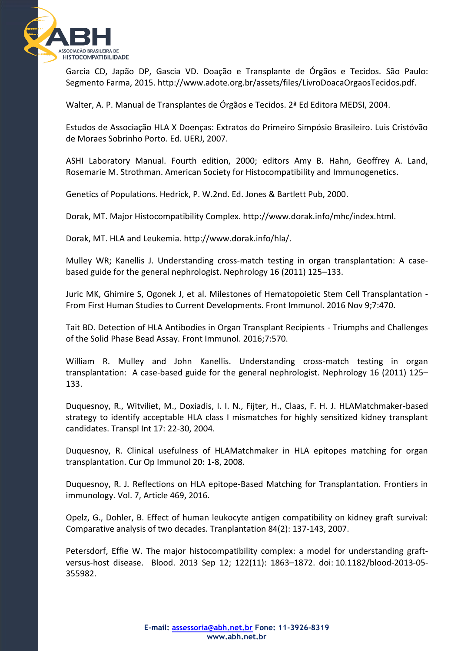

Garcia CD, Japão DP, Gascia VD. Doação e Transplante de Órgãos e Tecidos*.* São Paulo: Segmento Farma, 2015. http://www.adote.org.br/assets/files/LivroDoacaOrgaosTecidos.pdf.

Walter, A. P. Manual de Transplantes de Órgãos e Tecidos. 2ª Ed Editora MEDSI, 2004.

Estudos de Associação HLA X Doenças: Extratos do Primeiro Simpósio Brasileiro. Luis Cristóvão de Moraes Sobrinho Porto. Ed. UERJ, 2007.

ASHI Laboratory Manual. Fourth edition, 2000; editors Amy B. Hahn, Geoffrey A. Land, Rosemarie M. Strothman. [American Society for Histocompatibility and Immunogenetics.](https://trove.nla.gov.au/people/American%20Society%20for%20Histocompatibility%20and%20Immunogenetics?q=creator%3A%22American+Society+for+Histocompatibility+and+Immunogenetics%22)

Genetics of Populations. Hedrick, P. W.2nd. Ed. Jones & Bartlett Pub, 2000.

Dorak, MT. Major Histocompatibility Complex. http://www.dorak.info/mhc/index.html.

Dorak, MT. HLA and Leukemia. http://www.dorak.info/hla/.

Mulley WR; Kanellis J. Understanding cross-match testing in organ transplantation: A casebased guide for the general nephrologist. Nephrology 16 (2011) 125–133.

Juric MK, Ghimire S, Ogonek J, et al. Milestones of Hematopoietic Stem Cell Transplantation - From First Human Studies to Current Developments. Front Immunol. 2016 Nov 9;7:470.

Tait BD. Detection of HLA Antibodies in Organ Transplant Recipients - Triumphs and Challenges of the Solid Phase Bead Assay. Front Immunol. 2016;7:570.

William R. Mulley and John Kanellis. Understanding cross-match testing in organ transplantation: A case-based guide for the general nephrologist. Nephrology 16 (2011) 125– 133.

Duquesnoy, R., Witviliet, M., Doxiadis, I. I. N., Fijter, H., Claas, F. H. J. HLAMatchmaker-based strategy to identify acceptable HLA class I mismatches for highly sensitized kidney transplant candidates. Transpl Int 17: 22-30, 2004.

Duquesnoy, R. Clinical usefulness of HLAMatchmaker in HLA epitopes matching for organ transplantation. Cur Op Immunol 20: 1-8, 2008.

Duquesnoy, R. J*.* Reflections on HLA epitope-Based Matching for Transplantation. Frontiers in immunology. Vol. 7, Article 469, 2016.

Opelz, G., Dohler, B. Effect of human leukocyte antigen compatibility on kidney graft survival: Comparative analysis of two decades. Tranplantation 84(2): 137-143, 2007.

Petersdorf, Effie W. The major histocompatibility [complex: a model for understanding graft](https://www.ncbi.nlm.nih.gov/pmc/articles/PMC3772496/)[versus-host disease.](https://www.ncbi.nlm.nih.gov/pmc/articles/PMC3772496/) Blood. 2013 Sep 12; 122(11): 1863–1872. doi: 10.1182/blood-2013-05- 355982.